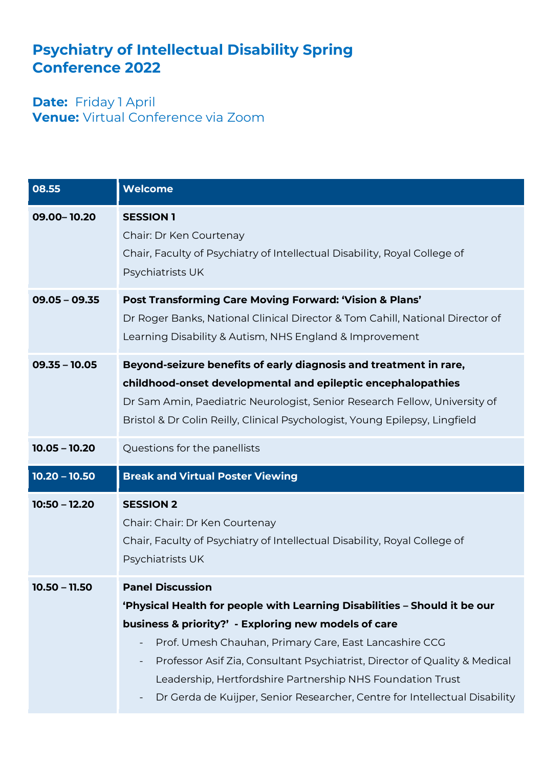## **Psychiatry of Intellectual Disability Spring Conference 2022**

**Date: Friday 1 April Venue:** Virtual Conference via Zoom

| 08.55           | <b>Welcome</b>                                                                                                                                                                                                                                                                                                                                                                                                                                   |
|-----------------|--------------------------------------------------------------------------------------------------------------------------------------------------------------------------------------------------------------------------------------------------------------------------------------------------------------------------------------------------------------------------------------------------------------------------------------------------|
| 09.00-10.20     | <b>SESSION 1</b><br>Chair: Dr Ken Courtenay<br>Chair, Faculty of Psychiatry of Intellectual Disability, Royal College of<br>Psychiatrists UK                                                                                                                                                                                                                                                                                                     |
| $09.05 - 09.35$ | Post Transforming Care Moving Forward: 'Vision & Plans'<br>Dr Roger Banks, National Clinical Director & Tom Cahill, National Director of<br>Learning Disability & Autism, NHS England & Improvement                                                                                                                                                                                                                                              |
| $09.35 - 10.05$ | Beyond-seizure benefits of early diagnosis and treatment in rare,<br>childhood-onset developmental and epileptic encephalopathies<br>Dr Sam Amin, Paediatric Neurologist, Senior Research Fellow, University of<br>Bristol & Dr Colin Reilly, Clinical Psychologist, Young Epilepsy, Lingfield                                                                                                                                                   |
| $10.05 - 10.20$ | Questions for the panellists                                                                                                                                                                                                                                                                                                                                                                                                                     |
| $10.20 - 10.50$ | <b>Break and Virtual Poster Viewing</b>                                                                                                                                                                                                                                                                                                                                                                                                          |
| $10:50 - 12.20$ | <b>SESSION 2</b><br>Chair: Chair: Dr Ken Courtenay<br>Chair, Faculty of Psychiatry of Intellectual Disability, Royal College of<br>Psychiatrists UK                                                                                                                                                                                                                                                                                              |
| $10.50 - 11.50$ | <b>Panel Discussion</b><br>'Physical Health for people with Learning Disabilities - Should it be our<br>business & priority?' - Exploring new models of care<br>Prof. Umesh Chauhan, Primary Care, East Lancashire CCG<br>Professor Asif Zia, Consultant Psychiatrist, Director of Quality & Medical<br>Leadership, Hertfordshire Partnership NHS Foundation Trust<br>Dr Gerda de Kuijper, Senior Researcher, Centre for Intellectual Disability |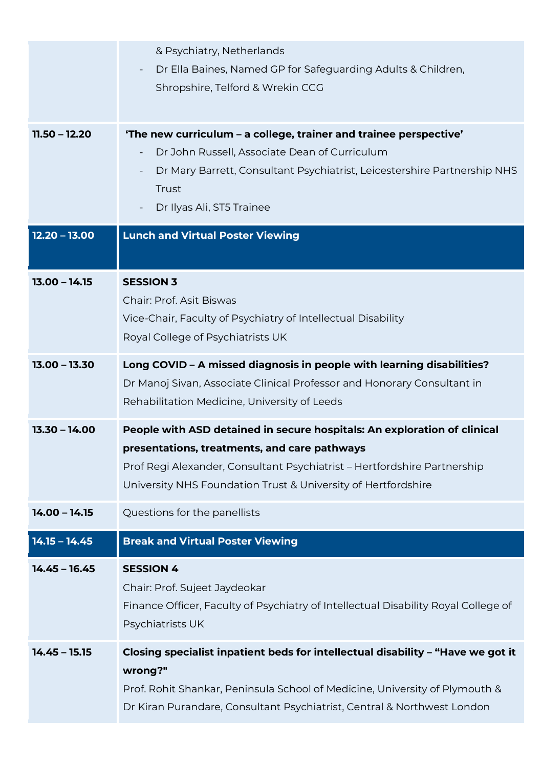| $11.50 - 12.20$ | & Psychiatry, Netherlands<br>Dr Ella Baines, Named GP for Safeguarding Adults & Children,<br>Shropshire, Telford & Wrekin CCG<br>'The new curriculum - a college, trainer and trainee perspective'                                                                    |
|-----------------|-----------------------------------------------------------------------------------------------------------------------------------------------------------------------------------------------------------------------------------------------------------------------|
|                 | Dr John Russell, Associate Dean of Curriculum<br>Dr Mary Barrett, Consultant Psychiatrist, Leicestershire Partnership NHS<br>Trust<br>Dr Ilyas Ali, ST5 Trainee                                                                                                       |
| $12.20 - 13.00$ | <b>Lunch and Virtual Poster Viewing</b>                                                                                                                                                                                                                               |
| $13.00 - 14.15$ | <b>SESSION 3</b><br><b>Chair: Prof. Asit Biswas</b><br>Vice-Chair, Faculty of Psychiatry of Intellectual Disability<br>Royal College of Psychiatrists UK                                                                                                              |
| $13.00 - 13.30$ | Long COVID - A missed diagnosis in people with learning disabilities?<br>Dr Manoj Sivan, Associate Clinical Professor and Honorary Consultant in<br>Rehabilitation Medicine, University of Leeds                                                                      |
| $13.30 - 14.00$ | People with ASD detained in secure hospitals: An exploration of clinical<br>presentations, treatments, and care pathways<br>Prof Regi Alexander, Consultant Psychiatrist - Hertfordshire Partnership<br>University NHS Foundation Trust & University of Hertfordshire |
| $14.00 - 14.15$ | Questions for the panellists                                                                                                                                                                                                                                          |
| $14.15 - 14.45$ | <b>Break and Virtual Poster Viewing</b>                                                                                                                                                                                                                               |
| $14.45 - 16.45$ | <b>SESSION 4</b><br>Chair: Prof. Sujeet Jaydeokar<br>Finance Officer, Faculty of Psychiatry of Intellectual Disability Royal College of<br>Psychiatrists UK                                                                                                           |
| $14.45 - 15.15$ | Closing specialist inpatient beds for intellectual disability - "Have we got it<br>wrong?"<br>Prof. Rohit Shankar, Peninsula School of Medicine, University of Plymouth &<br>Dr Kiran Purandare, Consultant Psychiatrist, Central & Northwest London                  |